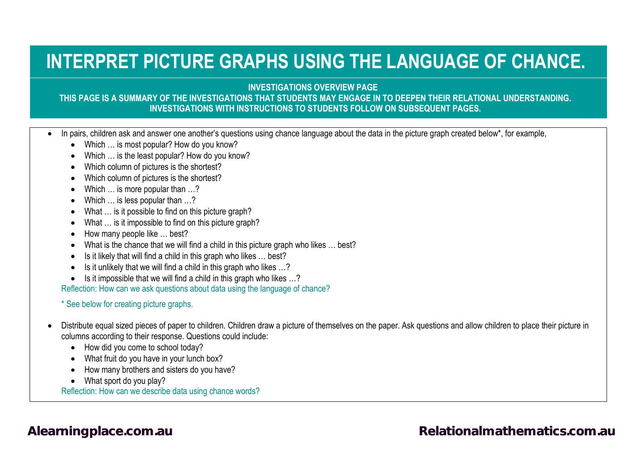## **INTERPRET PICTURE GRAPHS USING THE LANGUAGE OF CHANCE.**

**INVESTIGATIONS OVERVIEW PAGE**

### **THIS PAGE IS A SUMMARY OF THE INVESTIGATIONS THAT STUDENTS MAY ENGAGE IN TO DEEPEN THEIR RELATIONAL UNDERSTANDING. INVESTIGATIONS WITH INSTRUCTIONS TO STUDENTS FOLLOW ON SUBSEQUENT PAGES.**

- In pairs, children ask and answer one another's questions using chance language about the data in the picture graph created below\*, for example,
	- Which ... is most popular? How do you know?
	- Which … is the least popular? How do you know?
	- Which column of pictures is the shortest?
	- Which column of pictures is the shortest?
	- Which ... is more popular than ...?
	- Which … is less popular than …?
	- What ... is it possible to find on this picture graph?
	- What ... is it impossible to find on this picture graph?
	- How many people like … best?
	- What is the chance that we will find a child in this picture graph who likes ... best?
	- Is it likely that will find a child in this graph who likes … best?
	- Is it unlikely that we will find a child in this graph who likes …?
	- Is it impossible that we will find a child in this graph who likes …?

Reflection: How can we ask questions about data using the language of chance?

### \* See below for creating picture graphs.

- Distribute equal sized pieces of paper to children. Children draw a picture of themselves on the paper. Ask questions and allow children to place their picture in columns according to their response. Questions could include:
	- How did you come to school today?
	- What fruit do you have in your lunch box?
	- How many brothers and sisters do you have?
	- What sport do you play?

Reflection: How can we describe data using chance words?

### [Alearningplace.com.au](https://alearningplace.com.au/) *[Relationalmathematics.com.au](http://relationalmathematics.com.au/)* **Relationalmathematics.com.au**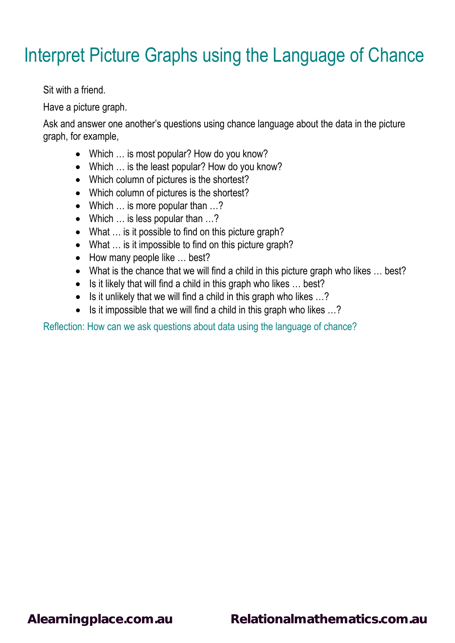## Interpret Picture Graphs using the Language of Chance

Sit with a friend.

Have a picture graph.

Ask and answer one another's questions using chance language about the data in the picture graph, for example,

- Which ... is most popular? How do you know?
- Which … is the least popular? How do you know?
- Which column of pictures is the shortest?
- Which column of pictures is the shortest?
- Which ... is more popular than ...?
- Which ... is less popular than ...?
- What ... is it possible to find on this picture graph?
- What ... is it impossible to find on this picture graph?
- How many people like ... best?
- What is the chance that we will find a child in this picture graph who likes ... best?
- Is it likely that will find a child in this graph who likes ... best?
- Is it unlikely that we will find a child in this graph who likes ...?
- Is it impossible that we will find a child in this graph who likes ...?

Reflection: How can we ask questions about data using the language of chance?